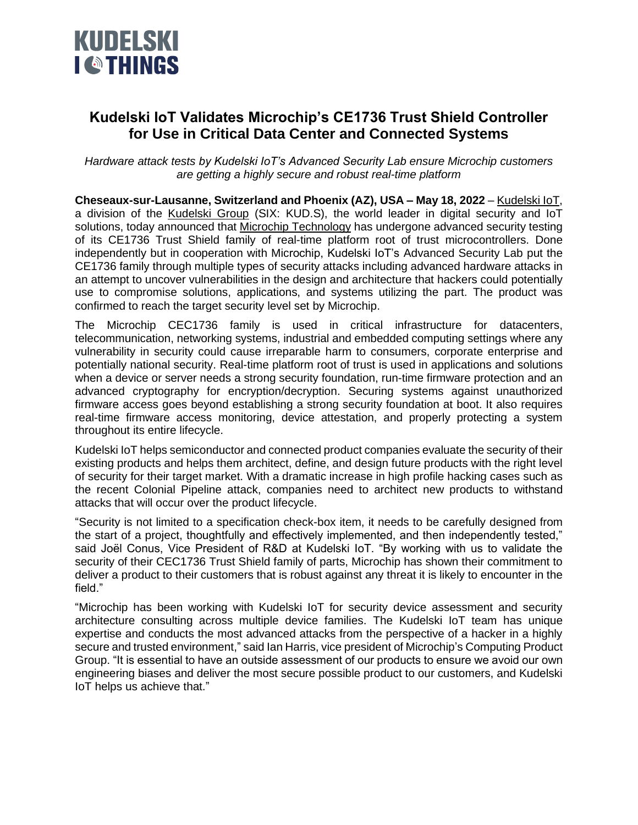

## **Kudelski IoT Validates Microchip's CE1736 Trust Shield Controller for Use in Critical Data Center and Connected Systems**

*Hardware attack tests by Kudelski IoT's Advanced Security Lab ensure Microchip customers are getting a highly secure and robust real-time platform*

**Cheseaux-sur-Lausanne, Switzerland and Phoenix (AZ), USA – May 18, 2022** – [Kudelski IoT,](http://www.kudelski-iot.com/) a division of the [Kudelski Group](http://www.nagra.com/) (SIX: KUD.S), the world leader in digital security and IoT solutions, today announced that Microchip [Technology](http://www.microchip.com/) has undergone advanced security testing of its CE1736 Trust Shield family of real-time platform root of trust microcontrollers. Done independently but in cooperation with Microchip, Kudelski IoT's Advanced Security Lab put the CE1736 family through multiple types of security attacks including advanced hardware attacks in an attempt to uncover vulnerabilities in the design and architecture that hackers could potentially use to compromise solutions, applications, and systems utilizing the part. The product was confirmed to reach the target security level set by Microchip.

The Microchip CEC1736 family is used in critical infrastructure for datacenters, telecommunication, networking systems, industrial and embedded computing settings where any vulnerability in security could cause irreparable harm to consumers, corporate enterprise and potentially national security. Real-time platform root of trust is used in applications and solutions when a device or server needs a strong security foundation, run-time firmware protection and an advanced cryptography for encryption/decryption. Securing systems against unauthorized firmware access goes beyond establishing a strong security foundation at boot. It also requires real-time firmware access monitoring, device attestation, and properly protecting a system throughout its entire lifecycle.

Kudelski IoT helps semiconductor and connected product companies evaluate the security of their existing products and helps them architect, define, and design future products with the right level of security for their target market. With a dramatic increase in high profile hacking cases such as the recent Colonial Pipeline attack, companies need to architect new products to withstand attacks that will occur over the product lifecycle.

"Security is not limited to a specification check-box item, it needs to be carefully designed from the start of a project, thoughtfully and effectively implemented, and then independently tested," said Joël Conus, Vice President of R&D at Kudelski IoT. "By working with us to validate the security of their CEC1736 Trust Shield family of parts, Microchip has shown their commitment to deliver a product to their customers that is robust against any threat it is likely to encounter in the field."

"Microchip has been working with Kudelski IoT for security device assessment and security architecture consulting across multiple device families. The Kudelski IoT team has unique expertise and conducts the most advanced attacks from the perspective of a hacker in a highly secure and trusted environment," said Ian Harris, vice president of Microchip's Computing Product Group. "It is essential to have an outside assessment of our products to ensure we avoid our own engineering biases and deliver the most secure possible product to our customers, and Kudelski IoT helps us achieve that."